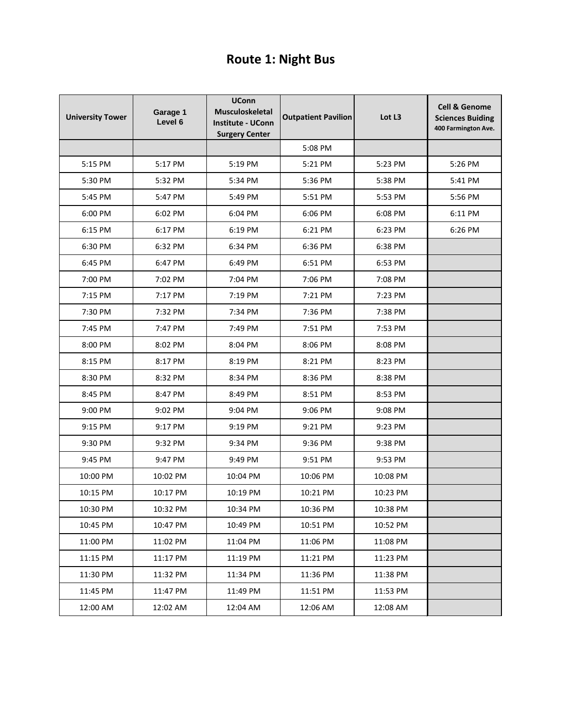## **Route 1: Night Bus**

| <b>University Tower</b> | Garage 1<br>Level 6 | <b>UConn</b><br><b>Musculoskeletal</b><br><b>Institute - UConn</b><br><b>Surgery Center</b> | <b>Outpatient Pavilion</b> | Lot L3   | <b>Cell &amp; Genome</b><br><b>Sciences Buiding</b><br>400 Farmington Ave. |
|-------------------------|---------------------|---------------------------------------------------------------------------------------------|----------------------------|----------|----------------------------------------------------------------------------|
|                         |                     |                                                                                             | 5:08 PM                    |          |                                                                            |
| 5:15 PM                 | 5:17 PM             | 5:19 PM                                                                                     | 5:21 PM                    | 5:23 PM  | 5:26 PM                                                                    |
| 5:30 PM                 | 5:32 PM             | 5:34 PM                                                                                     | 5:36 PM                    | 5:38 PM  | 5:41 PM                                                                    |
| 5:45 PM                 | 5:47 PM             | 5:49 PM                                                                                     | 5:51 PM                    | 5:53 PM  | 5:56 PM                                                                    |
| 6:00 PM                 | 6:02 PM             | 6:04 PM                                                                                     | 6:06 PM                    | 6:08 PM  | 6:11 PM                                                                    |
| 6:15 PM                 | 6:17 PM             | 6:19 PM                                                                                     | 6:21 PM                    | 6:23 PM  | 6:26 PM                                                                    |
| 6:30 PM                 | 6:32 PM             | 6:34 PM                                                                                     | 6:36 PM                    | 6:38 PM  |                                                                            |
| 6:45 PM                 | 6:47 PM             | 6:49 PM                                                                                     | 6:51 PM                    | 6:53 PM  |                                                                            |
| 7:00 PM                 | 7:02 PM             | 7:04 PM                                                                                     | 7:06 PM                    | 7:08 PM  |                                                                            |
| 7:15 PM                 | 7:17 PM             | 7:19 PM                                                                                     | 7:21 PM                    | 7:23 PM  |                                                                            |
| 7:30 PM                 | 7:32 PM             | 7:34 PM                                                                                     | 7:36 PM                    | 7:38 PM  |                                                                            |
| 7:45 PM                 | 7:47 PM             | 7:49 PM                                                                                     | 7:51 PM                    | 7:53 PM  |                                                                            |
| 8:00 PM                 | 8:02 PM             | 8:04 PM                                                                                     | 8:06 PM                    | 8:08 PM  |                                                                            |
| 8:15 PM                 | 8:17 PM             | 8:19 PM                                                                                     | 8:21 PM                    | 8:23 PM  |                                                                            |
| 8:30 PM                 | 8:32 PM             | 8:34 PM                                                                                     | 8:36 PM                    | 8:38 PM  |                                                                            |
| 8:45 PM                 | 8:47 PM             | 8:49 PM                                                                                     | 8:51 PM                    | 8:53 PM  |                                                                            |
| 9:00 PM                 | 9:02 PM             | 9:04 PM                                                                                     | 9:06 PM                    | 9:08 PM  |                                                                            |
| 9:15 PM                 | 9:17 PM             | 9:19 PM                                                                                     | 9:21 PM                    | 9:23 PM  |                                                                            |
| 9:30 PM                 | 9:32 PM             | 9:34 PM                                                                                     | 9:36 PM                    | 9:38 PM  |                                                                            |
| 9:45 PM                 | 9:47 PM             | 9:49 PM                                                                                     | 9:51 PM                    | 9:53 PM  |                                                                            |
| 10:00 PM                | 10:02 PM            | 10:04 PM                                                                                    | 10:06 PM                   | 10:08 PM |                                                                            |
| 10:15 PM                | 10:17 PM            | 10:19 PM                                                                                    | 10:21 PM                   | 10:23 PM |                                                                            |
| 10:30 PM                | 10:32 PM            | 10:34 PM                                                                                    | 10:36 PM                   | 10:38 PM |                                                                            |
| 10:45 PM                | 10:47 PM            | 10:49 PM                                                                                    | 10:51 PM                   | 10:52 PM |                                                                            |
| 11:00 PM                | 11:02 PM            | 11:04 PM                                                                                    | 11:06 PM                   | 11:08 PM |                                                                            |
| 11:15 PM                | 11:17 PM            | 11:19 PM                                                                                    | 11:21 PM                   | 11:23 PM |                                                                            |
| 11:30 PM                | 11:32 PM            | 11:34 PM                                                                                    | 11:36 PM                   | 11:38 PM |                                                                            |
| 11:45 PM                | 11:47 PM            | 11:49 PM                                                                                    | 11:51 PM                   | 11:53 PM |                                                                            |
| 12:00 AM                | 12:02 AM            | 12:04 AM                                                                                    | 12:06 AM                   | 12:08 AM |                                                                            |